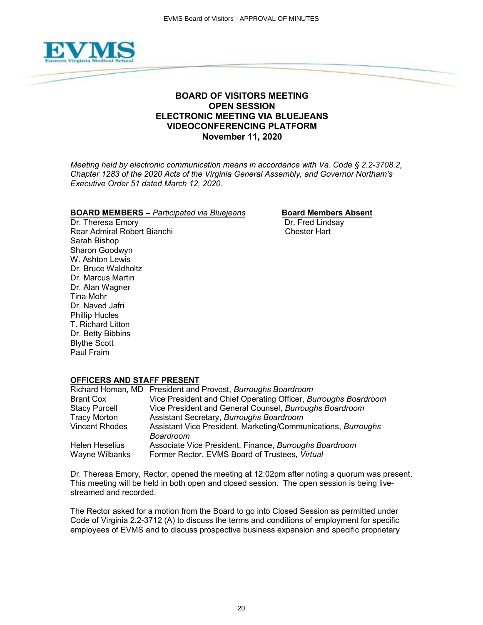

# **BOARD OF VISITORS MEETING OPEN SESSION ELECTRONIC MEETING VIA BLUEJEANS VIDEOCONFERENCING PLATFORM November 11, 2020**

*Meeting held by electronic communication means in accordance with Va. Code § 2.2-3708.2, Chapter 1283 of the 2020 Acts of the Virginia General Assembly, and Governor Northam's Executive Order 51 dated March 12, 2020.*

# **BOARD MEMBERS –** *Participated via Bluejeans* **Board Members Absent**<br>Dr. Theresa Emory **Board Members** Dr. Fred Lindsay

Dr. Theresa Emory Rear Admiral Robert Bianchi Chester Hart Sarah Bishop Sharon Goodwyn W. Ashton Lewis Dr. Bruce Waldholtz Dr. Marcus Martin Dr. Alan Wagner Tina Mohr Dr. Naved Jafri Phillip Hucles T. Richard Litton Dr. Betty Bibbins Blythe Scott Paul Fraim

# **OFFICERS AND STAFF PRESENT**

|                       | Richard Homan, MD President and Provost, Burroughs Boardroom    |
|-----------------------|-----------------------------------------------------------------|
| <b>Brant Cox</b>      | Vice President and Chief Operating Officer, Burroughs Boardroom |
| <b>Stacy Purcell</b>  | Vice President and General Counsel, Burroughs Boardroom         |
| <b>Tracy Morton</b>   | Assistant Secretary, Burroughs Boardroom                        |
| <b>Vincent Rhodes</b> | Assistant Vice President, Marketing/Communications, Burroughs   |
|                       | Boardroom                                                       |
| <b>Helen Heselius</b> | Associate Vice President, Finance, Burroughs Boardroom          |
| Wayne Wilbanks        | Former Rector, EVMS Board of Trustees, Virtual                  |

Dr. Theresa Emory, Rector, opened the meeting at 12:02pm after noting a quorum was present. This meeting will be held in both open and closed session. The open session is being livestreamed and recorded.

The Rector asked for a motion from the Board to go into Closed Session as permitted under Code of Virginia 2.2-3712 (A) to discuss the terms and conditions of employment for specific employees of EVMS and to discuss prospective business expansion and specific proprietary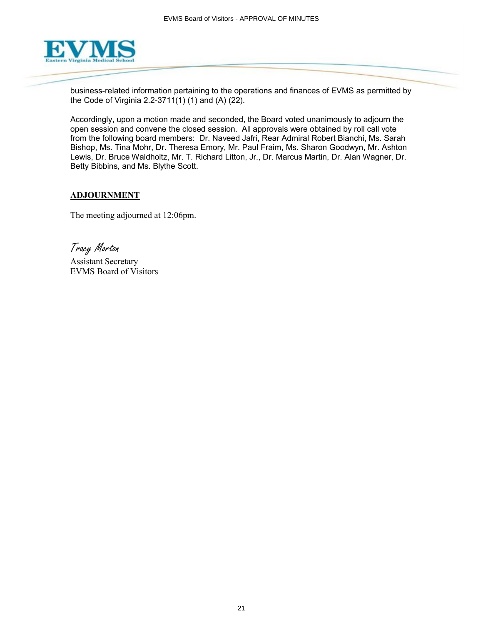

business-related information pertaining to the operations and finances of EVMS as permitted by the Code of Virginia 2.2-3711(1) (1) and (A) (22).

Accordingly, upon a motion made and seconded, the Board voted unanimously to adjourn the open session and convene the closed session. All approvals were obtained by roll call vote from the following board members: Dr. Naveed Jafri, Rear Admiral Robert Bianchi, Ms. Sarah Bishop, Ms. Tina Mohr, Dr. Theresa Emory, Mr. Paul Fraim, Ms. Sharon Goodwyn, Mr. Ashton Lewis, Dr. Bruce Waldholtz, Mr. T. Richard Litton, Jr., Dr. Marcus Martin, Dr. Alan Wagner, Dr. Betty Bibbins, and Ms. Blythe Scott.

# **ADJOURNMENT**

The meeting adjourned at 12:06pm.

Tracy Morton

Assistant Secretary EVMS Board of Visitors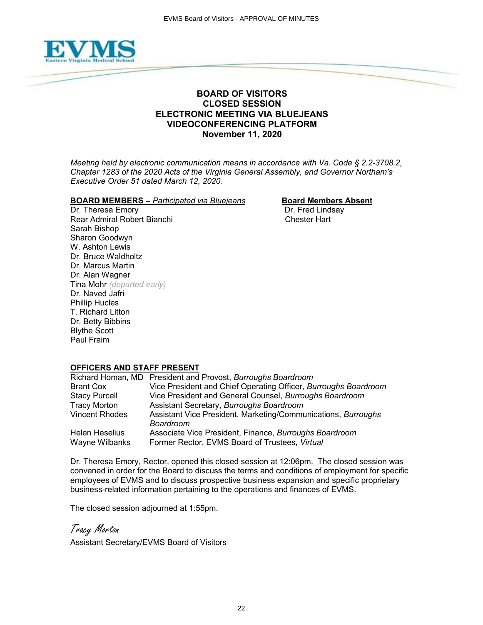

# **BOARD OF VISITORS CLOSED SESSION ELECTRONIC MEETING VIA BLUEJEANS VIDEOCONFERENCING PLATFORM November 11, 2020**

*Meeting held by electronic communication means in accordance with Va. Code § 2.2-3708.2, Chapter 1283 of the 2020 Acts of the Virginia General Assembly, and Governor Northam's Executive Order 51 dated March 12, 2020.*

### **BOARD MEMBERS** – *Participated via Bluejeans* **Board Members Absent**

Dr. Theresa Emory **Dr. Fred Lindsay** Rear Admiral Robert Bianchi Chester Hart Sarah Bishop Sharon Goodwyn W. Ashton Lewis Dr. Bruce Waldholtz Dr. Marcus Martin Dr. Alan Wagner Tina Mohr *(departed early)* Dr. Naved Jafri Phillip Hucles T. Richard Litton Dr. Betty Bibbins Blythe Scott Paul Fraim

# **OFFICERS AND STAFF PRESENT**

|                       | Richard Homan, MD President and Provost, Burroughs Boardroom    |
|-----------------------|-----------------------------------------------------------------|
| <b>Brant Cox</b>      | Vice President and Chief Operating Officer, Burroughs Boardroom |
| <b>Stacy Purcell</b>  | Vice President and General Counsel, Burroughs Boardroom         |
| <b>Tracy Morton</b>   | Assistant Secretary, Burroughs Boardroom                        |
| <b>Vincent Rhodes</b> | Assistant Vice President, Marketing/Communications, Burroughs   |
|                       | <b>Boardroom</b>                                                |
| Helen Heselius        | Associate Vice President, Finance, Burroughs Boardroom          |
| Wayne Wilbanks        | Former Rector, EVMS Board of Trustees, Virtual                  |

Dr. Theresa Emory, Rector, opened this closed session at 12:06pm. The closed session was convened in order for the Board to discuss the terms and conditions of employment for specific employees of EVMS and to discuss prospective business expansion and specific proprietary business-related information pertaining to the operations and finances of EVMS.

The closed session adjourned at 1:55pm.

Tracy Morton

Assistant Secretary/EVMS Board of Visitors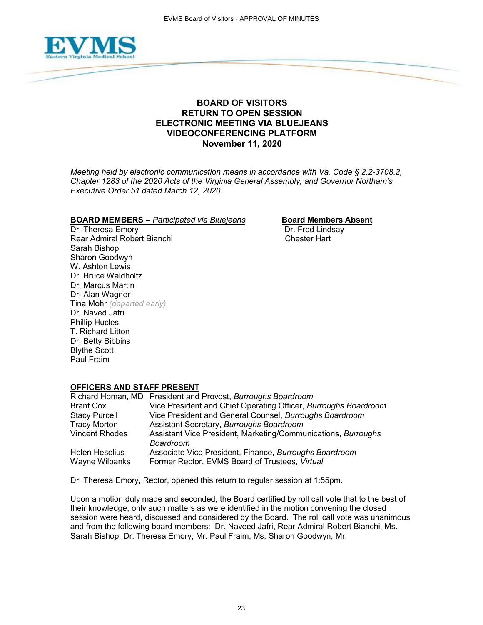

# **BOARD OF VISITORS RETURN TO OPEN SESSION ELECTRONIC MEETING VIA BLUEJEANS VIDEOCONFERENCING PLATFORM November 11, 2020**

*Meeting held by electronic communication means in accordance with Va. Code § 2.2-3708.2, Chapter 1283 of the 2020 Acts of the Virginia General Assembly, and Governor Northam's Executive Order 51 dated March 12, 2020.*

### **BOARD MEMBERS** – *Participated via Bluejeans* **Board Members Absent**

Dr. Theresa Emory Dr. Fred Lindsay Rear Admiral Robert Bianchi Sarah Bishop Sharon Goodwyn W. Ashton Lewis Dr. Bruce Waldholtz Dr. Marcus Martin Dr. Alan Wagner Tina Mohr *(departed early)* Dr. Naved Jafri Phillip Hucles T. Richard Litton Dr. Betty Bibbins Blythe Scott Paul Fraim

# **OFFICERS AND STAFF PRESENT**

|                       | Richard Homan, MD President and Provost, Burroughs Boardroom               |
|-----------------------|----------------------------------------------------------------------------|
| <b>Brant Cox</b>      | Vice President and Chief Operating Officer, Burroughs Boardroom            |
| <b>Stacy Purcell</b>  | Vice President and General Counsel, Burroughs Boardroom                    |
| <b>Tracy Morton</b>   | Assistant Secretary, Burroughs Boardroom                                   |
| <b>Vincent Rhodes</b> | Assistant Vice President, Marketing/Communications, Burroughs<br>Boardroom |
| Helen Heselius        | Associate Vice President, Finance, Burroughs Boardroom                     |
| Wayne Wilbanks        | Former Rector, EVMS Board of Trustees, Virtual                             |

Dr. Theresa Emory, Rector, opened this return to regular session at 1:55pm.

Upon a motion duly made and seconded, the Board certified by roll call vote that to the best of their knowledge, only such matters as were identified in the motion convening the closed session were heard, discussed and considered by the Board. The roll call vote was unanimous and from the following board members: Dr. Naveed Jafri, Rear Admiral Robert Bianchi, Ms. Sarah Bishop, Dr. Theresa Emory, Mr. Paul Fraim, Ms. Sharon Goodwyn, Mr.